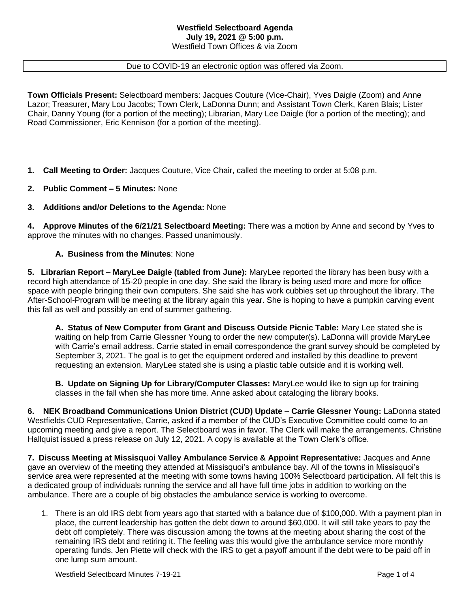#### **Westfield Selectboard Agenda July 19, 2021 @ 5:00 p.m.** Westfield Town Offices & via Zoom

#### Due to COVID-19 an electronic option was offered via Zoom.

**Town Officials Present:** Selectboard members: Jacques Couture (Vice-Chair), Yves Daigle (Zoom) and Anne Lazor; Treasurer, Mary Lou Jacobs; Town Clerk, LaDonna Dunn; and Assistant Town Clerk, Karen Blais; Lister Chair, Danny Young (for a portion of the meeting); Librarian, Mary Lee Daigle (for a portion of the meeting); and Road Commissioner, Eric Kennison (for a portion of the meeting).

**1. Call Meeting to Order:** Jacques Couture, Vice Chair, called the meeting to order at 5:08 p.m.

**2. Public Comment – 5 Minutes:** None

### **3. Additions and/or Deletions to the Agenda:** None

**4. Approve Minutes of the 6/21/21 Selectboard Meeting:** There was a motion by Anne and second by Yves to approve the minutes with no changes. Passed unanimously.

### **A. Business from the Minutes**: None

**5. Librarian Report – MaryLee Daigle (tabled from June):** MaryLee reported the library has been busy with a record high attendance of 15-20 people in one day. She said the library is being used more and more for office space with people bringing their own computers. She said she has work cubbies set up throughout the library. The After-School-Program will be meeting at the library again this year. She is hoping to have a pumpkin carving event this fall as well and possibly an end of summer gathering.

**A. Status of New Computer from Grant and Discuss Outside Picnic Table:** Mary Lee stated she is waiting on help from Carrie Glessner Young to order the new computer(s). LaDonna will provide MaryLee with Carrie's email address. Carrie stated in email correspondence the grant survey should be completed by September 3, 2021. The goal is to get the equipment ordered and installed by this deadline to prevent requesting an extension. MaryLee stated she is using a plastic table outside and it is working well.

**B. Update on Signing Up for Library/Computer Classes:** MaryLee would like to sign up for training classes in the fall when she has more time. Anne asked about cataloging the library books.

**6. NEK Broadband Communications Union District (CUD) Update – Carrie Glessner Young:** LaDonna stated Westfields CUD Representative, Carrie, asked if a member of the CUD's Executive Committee could come to an upcoming meeting and give a report. The Selectboard was in favor. The Clerk will make the arrangements. Christine Hallquist issued a press release on July 12, 2021. A copy is available at the Town Clerk's office.

**7. Discuss Meeting at Missisquoi Valley Ambulance Service & Appoint Representative:** Jacques and Anne gave an overview of the meeting they attended at Missisquoi's ambulance bay. All of the towns in Missisquoi's service area were represented at the meeting with some towns having 100% Selectboard participation. All felt this is a dedicated group of individuals running the service and all have full time jobs in addition to working on the ambulance. There are a couple of big obstacles the ambulance service is working to overcome.

1. There is an old IRS debt from years ago that started with a balance due of \$100,000. With a payment plan in place, the current leadership has gotten the debt down to around \$60,000. It will still take years to pay the debt off completely. There was discussion among the towns at the meeting about sharing the cost of the remaining IRS debt and retiring it. The feeling was this would give the ambulance service more monthly operating funds. Jen Piette will check with the IRS to get a payoff amount if the debt were to be paid off in one lump sum amount.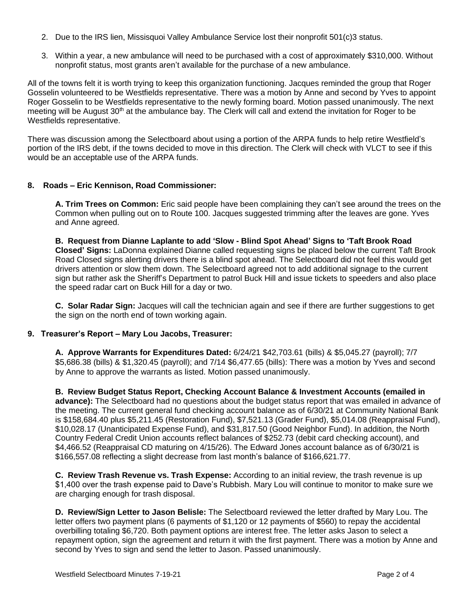- 2. Due to the IRS lien, Missisquoi Valley Ambulance Service lost their nonprofit 501(c)3 status.
- 3. Within a year, a new ambulance will need to be purchased with a cost of approximately \$310,000. Without nonprofit status, most grants aren't available for the purchase of a new ambulance.

All of the towns felt it is worth trying to keep this organization functioning. Jacques reminded the group that Roger Gosselin volunteered to be Westfields representative. There was a motion by Anne and second by Yves to appoint Roger Gosselin to be Westfields representative to the newly forming board. Motion passed unanimously. The next meeting will be August  $30<sup>th</sup>$  at the ambulance bay. The Clerk will call and extend the invitation for Roger to be Westfields representative.

There was discussion among the Selectboard about using a portion of the ARPA funds to help retire Westfield's portion of the IRS debt, if the towns decided to move in this direction. The Clerk will check with VLCT to see if this would be an acceptable use of the ARPA funds.

## **8. Roads – Eric Kennison, Road Commissioner:**

**A. Trim Trees on Common:** Eric said people have been complaining they can't see around the trees on the Common when pulling out on to Route 100. Jacques suggested trimming after the leaves are gone. Yves and Anne agreed.

**B. Request from Dianne Laplante to add 'Slow - Blind Spot Ahead' Signs to 'Taft Brook Road Closed' Signs:** LaDonna explained Dianne called requesting signs be placed below the current Taft Brook Road Closed signs alerting drivers there is a blind spot ahead. The Selectboard did not feel this would get drivers attention or slow them down. The Selectboard agreed not to add additional signage to the current sign but rather ask the Sheriff's Department to patrol Buck Hill and issue tickets to speeders and also place the speed radar cart on Buck Hill for a day or two.

**C. Solar Radar Sign:** Jacques will call the technician again and see if there are further suggestions to get the sign on the north end of town working again.

## **9. Treasurer's Report – Mary Lou Jacobs, Treasurer:**

**A. Approve Warrants for Expenditures Dated:** 6/24/21 \$42,703.61 (bills) & \$5,045.27 (payroll); 7/7 \$5,686.38 (bills) & \$1,320.45 (payroll); and 7/14 \$6,477.65 (bills): There was a motion by Yves and second by Anne to approve the warrants as listed. Motion passed unanimously.

**B. Review Budget Status Report, Checking Account Balance & Investment Accounts (emailed in advance):** The Selectboard had no questions about the budget status report that was emailed in advance of the meeting. The current general fund checking account balance as of 6/30/21 at Community National Bank is \$158,684.40 plus \$5,211.45 (Restoration Fund), \$7,521.13 (Grader Fund), \$5,014.08 (Reappraisal Fund), \$10,028.17 (Unanticipated Expense Fund), and \$31,817.50 (Good Neighbor Fund). In addition, the North Country Federal Credit Union accounts reflect balances of \$252.73 (debit card checking account), and \$4,466.52 (Reappraisal CD maturing on 4/15/26). The Edward Jones account balance as of 6/30/21 is \$166,557.08 reflecting a slight decrease from last month's balance of \$166,621.77.

**C. Review Trash Revenue vs. Trash Expense:** According to an initial review, the trash revenue is up \$1,400 over the trash expense paid to Dave's Rubbish. Mary Lou will continue to monitor to make sure we are charging enough for trash disposal.

**D. Review/Sign Letter to Jason Belisle:** The Selectboard reviewed the letter drafted by Mary Lou. The letter offers two payment plans (6 payments of \$1,120 or 12 payments of \$560) to repay the accidental overbilling totaling \$6,720. Both payment options are interest free. The letter asks Jason to select a repayment option, sign the agreement and return it with the first payment. There was a motion by Anne and second by Yves to sign and send the letter to Jason. Passed unanimously.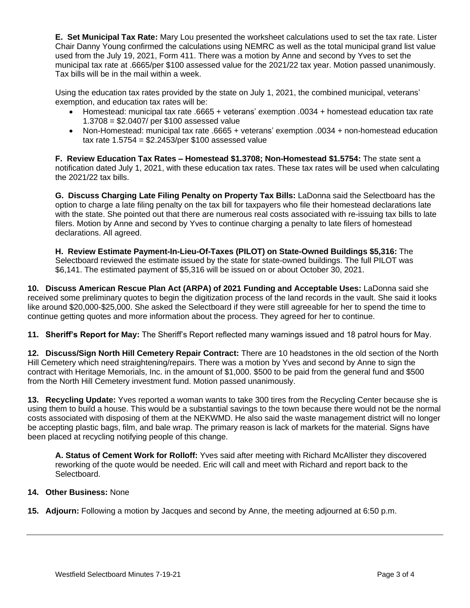**E. Set Municipal Tax Rate:** Mary Lou presented the worksheet calculations used to set the tax rate. Lister Chair Danny Young confirmed the calculations using NEMRC as well as the total municipal grand list value used from the July 19, 2021, Form 411. There was a motion by Anne and second by Yves to set the municipal tax rate at .6665/per \$100 assessed value for the 2021/22 tax year. Motion passed unanimously. Tax bills will be in the mail within a week.

Using the education tax rates provided by the state on July 1, 2021, the combined municipal, veterans' exemption, and education tax rates will be:

- Homestead: municipal tax rate .6665 + veterans' exemption .0034 + homestead education tax rate 1.3708 = \$2.0407/ per \$100 assessed value
- Non-Homestead: municipal tax rate .6665 + veterans' exemption .0034 + non-homestead education tax rate  $1.5754 = $2.2453/per $100$  assessed value

**F. Review Education Tax Rates – Homestead \$1.3708; Non-Homestead \$1.5754:** The state sent a notification dated July 1, 2021, with these education tax rates. These tax rates will be used when calculating the 2021/22 tax bills.

**G. Discuss Charging Late Filing Penalty on Property Tax Bills:** LaDonna said the Selectboard has the option to charge a late filing penalty on the tax bill for taxpayers who file their homestead declarations late with the state. She pointed out that there are numerous real costs associated with re-issuing tax bills to late filers. Motion by Anne and second by Yves to continue charging a penalty to late filers of homestead declarations. All agreed.

**H. Review Estimate Payment-In-Lieu-Of-Taxes (PILOT) on State-Owned Buildings \$5,316:** The Selectboard reviewed the estimate issued by the state for state-owned buildings. The full PILOT was \$6,141. The estimated payment of \$5,316 will be issued on or about October 30, 2021.

**10. Discuss American Rescue Plan Act (ARPA) of 2021 Funding and Acceptable Uses:** LaDonna said she received some preliminary quotes to begin the digitization process of the land records in the vault. She said it looks like around \$20,000-\$25,000. She asked the Selectboard if they were still agreeable for her to spend the time to continue getting quotes and more information about the process. They agreed for her to continue.

**11. Sheriff's Report for May:** The Sheriff's Report reflected many warnings issued and 18 patrol hours for May.

**12. Discuss/Sign North Hill Cemetery Repair Contract:** There are 10 headstones in the old section of the North Hill Cemetery which need straightening/repairs. There was a motion by Yves and second by Anne to sign the contract with Heritage Memorials, Inc. in the amount of \$1,000. \$500 to be paid from the general fund and \$500 from the North Hill Cemetery investment fund. Motion passed unanimously.

**13. Recycling Update:** Yves reported a woman wants to take 300 tires from the Recycling Center because she is using them to build a house. This would be a substantial savings to the town because there would not be the normal costs associated with disposing of them at the NEKWMD. He also said the waste management district will no longer be accepting plastic bags, film, and bale wrap. The primary reason is lack of markets for the material. Signs have been placed at recycling notifying people of this change.

**A. Status of Cement Work for Rolloff:** Yves said after meeting with Richard McAllister they discovered reworking of the quote would be needed. Eric will call and meet with Richard and report back to the Selectboard.

# **14. Other Business:** None

**15. Adjourn:** Following a motion by Jacques and second by Anne, the meeting adjourned at 6:50 p.m.